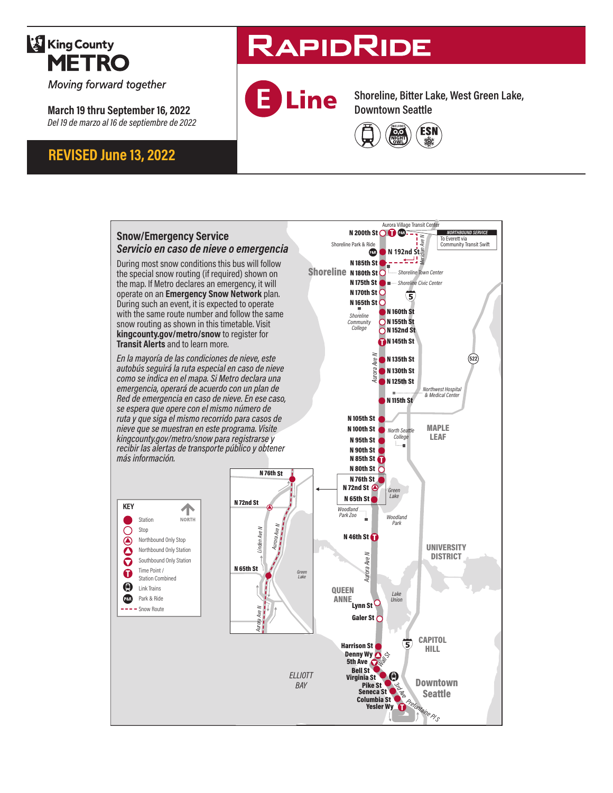## **King County METRO**

Moving forward together

**March 19 thru September 16, 2022** *Del 19 de marzo al 16 de septiembre de 2022*

### **REVISED June 13, 2022**

# **RAPIDRIDE**



**Shoreline, Bitter Lake, West Green Lake, Downtown Seattle**



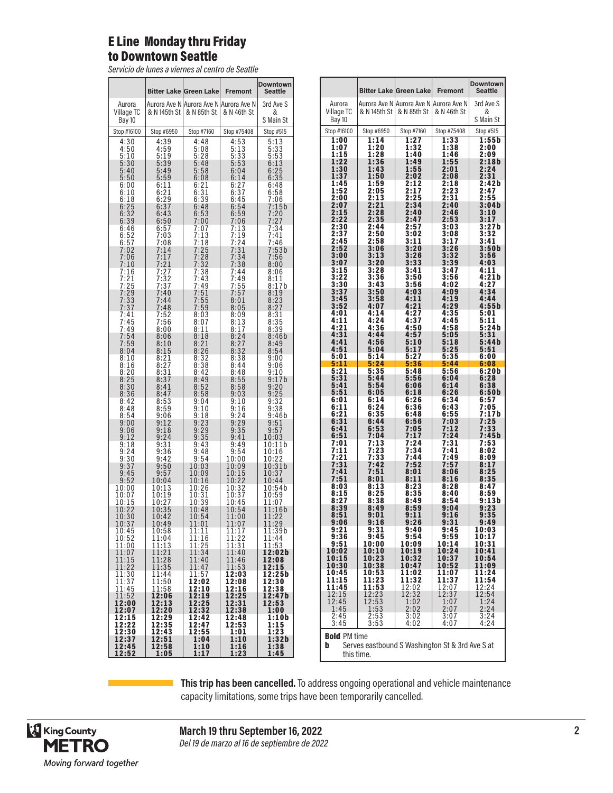#### E Line Monday thru Friday to Downtown Seattle

*Servicio de lunes a viernes al centro de Seattle*

|                             |                                             | <b>Bitter Lake Green Lake</b>                         | <b>Fremont</b>                              | Downtown<br><b>Seattle</b> |
|-----------------------------|---------------------------------------------|-------------------------------------------------------|---------------------------------------------|----------------------------|
| Aurora<br>Village TC        | & N 145th St                                | Aurora Ave N Aurora Ave N Aurora Ave N<br>& N 85th St | & N 46th St                                 | 3rd Ave S<br>&             |
| Bay 10<br>Stop #16100       | Stop #6950                                  | Stop #7160                                            | Stop #75408                                 | S Main St<br>Stop #515     |
| 4:30                        | 4:39                                        | 4:48                                                  | 4:53                                        | 5:13                       |
| 4:50                        | 4:59                                        | 5:08                                                  | 5:13                                        | 5:33                       |
| 5:10<br>5:30                | 5:19<br>5:39                                | 5:28<br>5:48                                          | 5:33<br>5:53                                | 5:53<br>6:13               |
| 5:40<br>5:50                | 5:49<br>5:59                                | 5:58                                                  | 6:04<br>6:14                                | 6:25<br>6:35               |
| 6:00                        | 6:11                                        | 6:08<br>6:21                                          | 6:27                                        | 6:48                       |
| 6:10<br>6:18                | 6:21<br>6:29                                | $6:31$<br>$6:39$                                      | $\begin{array}{c} 6:37 \\ 6:45 \end{array}$ | 6:58<br>7:06               |
| 6:25                        | 6:37                                        | 6:48                                                  | 6:54                                        | 7:15b                      |
| 6:32<br>6:39                | 6:43<br>6:50                                | 6:53<br>7:00                                          | 6:59<br>7:06                                | 7:20<br>7:27               |
| 6:46<br>6:52                | 6:57<br>7:03                                | 7:07<br>7:13                                          | 7:13<br>7:19                                | 7:34<br>7:41               |
| 6:57                        | 7:08                                        | 7:18                                                  | 7:24                                        | 7:46                       |
| 7:02<br>7:06                | 7:14<br>7:17                                | 7:25<br>7:28                                          | 7:31<br>7:34                                | 7:53b<br>7:56              |
| 7:10                        | 7:21                                        | 7:32                                                  | 7:38                                        | 8:00                       |
| 7:16                        | 7:27                                        | 7:38<br>7:43                                          | 7:44<br>7:49                                | 8:06<br>8:11               |
| $\frac{7:21}{7:25}$<br>7:29 | 7:32<br>7:37<br>7:40                        | 7:49<br>7:51                                          | 7:55<br>7:57                                | 8:17b<br>8:19              |
| $7:33$<br>$7:37$            | 7:44                                        | 7:55                                                  | 8:01                                        | $8:23$<br>$8:27$           |
| 7:41                        | 7:48<br>7:52                                | 7:59<br>8:03                                          | 8:05<br>8:09                                | 8:31                       |
| 7:45                        | 7:56                                        | 8:07                                                  | 8:13                                        | 8:35                       |
| 7:49<br>7:54                | 8:00<br>8:06                                | 8:11<br>8:18                                          | 8:17<br>8:24                                | 8:39<br>8:46b              |
| 7:59                        | 8:10                                        | 8:21<br>8:26                                          | 8:27                                        | 8:49                       |
| 8:04<br>8:10                | 8:15<br>8:21                                | 8:32                                                  | 8:32<br>8:38                                | 8:54<br>9:00               |
| 8:16                        | 8:27                                        | 8:38<br>8:42                                          | 8:44<br>8:48                                | 9:06                       |
| $8:20$<br>$8:25$            | $\begin{array}{c} 8:31 \\ 8:37 \end{array}$ | 8:49                                                  | 8:55                                        | $9:10$<br>$9:17b$          |
| 8:30<br>8:36                | 8:41<br>8:47                                | 8:52<br>8:58                                          | 8:58<br>9:03                                | $9:20$<br>$9:25$           |
| 8:42                        | 8:53                                        | 9:04                                                  | 9:10                                        | 9:32                       |
| 8:48<br>8:54                | $8:59$<br>$9:06$                            | $\frac{9:10}{9:18}$                                   | 9:16<br>9:24                                | 9:38<br>9:46b              |
| 9:00<br>9:06                | 9:12<br>9:18                                | 9:23<br>9:29                                          | 9:29<br>9:35                                | 9:51<br>9:57               |
| 9:12                        | 9:24                                        | 9:35                                                  | 9:41                                        | 10:03                      |
| 9:18                        | $9:31$<br>$9:36$                            | 9:43<br>9:48                                          | 9:49<br>9:54                                | 10:11b<br>10:16            |
| $9:24$<br>$9:30$<br>9:37    | 9:42<br>9:50                                | 9:54                                                  | 10:00                                       | 10:22<br>10:31b            |
| 9:45                        | 9:57                                        | 10:03<br>10:09                                        | 0:09<br>1<br>10:15                          | 10:37                      |
| 9:52<br>10:00               | 10:04<br>10:13                              | 10:16<br>10:26                                        | 10:22<br>10:32                              | 10:44<br>10:54b            |
| 10:07                       | 10:19                                       | 10:31                                                 | 10:37                                       | 10:59                      |
| 10:15<br>10:22              | 10:27<br>10:35                              | 10:39<br>10:48                                        | 10:45<br>10:54                              | 11:07<br>11:16b            |
| 10:30<br>10:37              | 10:42<br>10:49                              | 10:54<br>11:01                                        | 11:00<br>11:07                              | $\frac{11:22}{11:29}$      |
| 10:45                       | 10:58                                       | 11:11                                                 | 11:17                                       | 11:39b                     |
| 10:52<br>11:00              | 11:04<br>11:13                              | 11:16<br>11:25                                        | 11:22<br>11:31                              | 11:44<br>11:53             |
| 11:07                       | 11:21<br>11:28                              | 11:34                                                 | 11:40                                       | 12:02b                     |
| 11:15<br>11:22              | 11:35                                       | 11:40<br>11:47                                        | 11:46<br>11:53                              | 12:08<br>12:15             |
| 11:30<br>11:37              | 11:44<br>11:50                              | 11:57<br>12:02                                        | 12:03<br>12:08                              | 12:25b<br>12:30            |
| 11:45                       | 11:58                                       | 12:10                                                 | 12:16                                       | 12:38<br>12:47b            |
| 11:52<br>12:00              | 12:06<br>12:13                              | 12:19<br>12:25                                        | 12:25<br>12:31                              | 12:53                      |
| 12:07                       | 12:20                                       | 12:32                                                 | 12:38                                       | 1:00                       |
| 12:15<br>12:22              | 12:29<br>12:35                              | 12:42<br>12:47                                        | 12:48<br>12:53                              | 1:10b<br>1:15              |
| 12:30<br>12:37              | 12:43<br>12:51                              | 12:55<br>1:04                                         | 1:01<br>1:10                                | 1:23<br>1:32b              |
| 12:45<br>12:52              | 12:58<br>1:05                               | 1:10<br>1:17                                          | 1:16<br>1:23                                | 1:38<br>1:45               |

|                            |                                                 | <b>Bitter Lake Green Lake</b> | <b>Fremont</b>                                        | <b>Downtown</b><br>Seattle |  |  |
|----------------------------|-------------------------------------------------|-------------------------------|-------------------------------------------------------|----------------------------|--|--|
| Aurora<br>Village TC       | & N 145th St                                    | & N 85th St                   | Aurora Ave N Aurora Ave N Aurora Ave N<br>& N 46th St | 3rd Ave S<br>&             |  |  |
| Bay 10<br>Stop #16100      | Stop #6950                                      | Stop #7160                    | Stop #75408                                           | S Main St<br>Stop #515     |  |  |
| $\overline{\mathbf{1:00}}$ | 1:14                                            | 1:27                          | 1:33                                                  | 1:55b                      |  |  |
| 1:07                       | 1:20                                            | 1:32                          | 1:38                                                  | 2:00                       |  |  |
| 1:15                       | 1:28                                            | 1:40                          | 1:46                                                  | 2:09                       |  |  |
| 1:22                       | 1:36                                            | 1:49                          | 1:55                                                  | 2:18b                      |  |  |
|                            | 1:43                                            | 1:55                          | 2:01                                                  | 2:24                       |  |  |
| 1:30<br>1:37               | 1:50                                            | 2:02                          | 2:08                                                  | 2:31                       |  |  |
| 1:45                       | 1:59                                            | 2:12                          | 2:18                                                  | 2:42b                      |  |  |
| 1:52                       | 2:05                                            | 2:17                          | 2:23                                                  | 2:47                       |  |  |
| 2:00                       | 2:13                                            | 2:25                          | 2:31                                                  | 2:55                       |  |  |
| 2:07                       | 2:21                                            | 2:34                          | 2:40                                                  | 3:04b                      |  |  |
| 2:15                       | 2:28                                            | 2:40                          | 2:46                                                  | 3:10                       |  |  |
| 2:22                       | 2:35                                            | 2:47                          | 2:53                                                  | 3:17                       |  |  |
| 2:30                       | 2:44                                            | 2:57                          | 3:03                                                  | 3:27b                      |  |  |
| 2:37                       | 2:50                                            | 3:02                          | 3:08                                                  | 3:32                       |  |  |
| 2:45                       | 2:58                                            | 3:11                          | 3:17                                                  | 3:41                       |  |  |
| 2:52                       | 3:06                                            | 3:20                          | 3:26                                                  | 3:50b                      |  |  |
| 3:00                       | 3:13                                            | 3:26                          | 3:32                                                  | 3:56                       |  |  |
| 3:07                       | 3:20                                            | 3:33                          | 3:39                                                  | 4:03                       |  |  |
| 3:15                       | 3:28                                            | 3:41                          | 3:47                                                  | 4:11                       |  |  |
| 3:22                       | 3:36                                            | 3:50                          | 3:56                                                  | 4:21b                      |  |  |
| 3:30                       | 3:43                                            | 3:56                          | 4:02                                                  | 4:27                       |  |  |
| 3:37                       | 3:50                                            | 4:03                          | 4:09                                                  | 4:34                       |  |  |
| 3:45                       | 3:58                                            | 4:11                          | 4:19                                                  | 4:44                       |  |  |
| 3:52                       | 4:07                                            | 4:21                          | 4:29                                                  | 4:55b                      |  |  |
| 4:01                       | 4:14                                            | 4:27                          | 4:35                                                  | 5:01                       |  |  |
| 4:11                       | 4:24                                            | 4:37                          | 4:45                                                  | 5:11                       |  |  |
| 4:21                       | 4:36                                            | 4:50                          | 4:58                                                  | 5:24b                      |  |  |
| 4:31                       | 4:44                                            | 4:57                          | 5:05                                                  | 5:31                       |  |  |
| 4:41                       | 4:56                                            | 5:10                          | 5:18                                                  | 5:44b                      |  |  |
| 4:51                       | 5:04                                            | 5:17                          | 5:25                                                  | 5:51                       |  |  |
| 5:01                       | 5:14                                            | 5:27                          | 5:35                                                  | 6:00                       |  |  |
| 5:11                       | 5:24                                            | 5:36                          | 5:44                                                  | 6:08                       |  |  |
| 5:21                       | 5:35                                            | 5:48                          | 5:56                                                  | 6:20b                      |  |  |
| 5:31                       | 5:44                                            | 5:56                          | 6:04                                                  | 6:28                       |  |  |
| 5:41                       | 5:54                                            | 6:06                          | 6:14                                                  | 6:38                       |  |  |
| 5:51                       | 6:05                                            | 6:18                          | 6:26                                                  | 6:50b                      |  |  |
| 6:01                       | 6:14                                            | 6:26                          | 6:34                                                  | 6:57                       |  |  |
| 6:11                       | 6:24                                            | 6:36                          | 6:43                                                  | 7:05                       |  |  |
| 6:21                       | 6:35                                            | 6:48                          | 6:55                                                  | 7:17b                      |  |  |
| 6:31                       | 6:44                                            | 6:56                          | 7:03                                                  | 7:25                       |  |  |
| 6:41                       | 6:53                                            | 7:05                          | 7:12                                                  | 7:33                       |  |  |
| 6:51                       | 7:04                                            | 7:17                          | 7:24                                                  | 7:45b                      |  |  |
| 7:01                       | 7:13                                            | 7:24                          | 7:31                                                  | 7:53                       |  |  |
| 7:11                       | 7:23                                            | 7:34                          | 7:41                                                  | 8:02                       |  |  |
| 7:21                       | 7:33                                            | 7:44                          | 7:49                                                  | 8:09                       |  |  |
| 7:31                       | 7:42                                            | 7:52                          | 7:57                                                  | 8:17                       |  |  |
| 7:41                       | 7:51                                            | 8:01                          | 8:06                                                  | 8:25                       |  |  |
| 7:51                       | 8:01                                            | 8:11                          | 8:16                                                  | 8:35                       |  |  |
| 8:03                       | 8:13                                            | 8:23                          | 8:28                                                  | 8:47                       |  |  |
| 8:15                       | 8:25                                            | 8:35                          | 8:40                                                  | 8:59                       |  |  |
| 8:27                       | 8:38                                            | 8:49                          | 8:54                                                  | 9:13b                      |  |  |
| 8:39                       | 8:49                                            | 8:59                          | 9:04                                                  | 9:23                       |  |  |
| 8:51                       | 9:01                                            | 9:11                          | 9:16                                                  | 9:35                       |  |  |
| 9:06                       | 9:16                                            | 9:26                          | 9:31                                                  | 9:49                       |  |  |
| 9:21                       | 9:31                                            | 9:40                          | 9:45                                                  | 10:03                      |  |  |
| 9:36                       | 9:45                                            | 9:54                          | 9:59                                                  | 10:17                      |  |  |
| 9:51                       | 10:00                                           | 10:09                         | 10:14                                                 | 10:31                      |  |  |
| 10:02                      | 10:10                                           | 10:19                         | 10:24                                                 | 10:41                      |  |  |
| 10:15                      | 10:23                                           | 10:32                         | 10:37                                                 | 10:54                      |  |  |
| 10:30                      | 10:38                                           | 10:47                         | 10:52                                                 | 11:09                      |  |  |
| 10:45                      | 10:53                                           | 11:02                         | 11:07                                                 | 11:24                      |  |  |
| 11:15                      | 11:23                                           | 11:32                         | 11:37                                                 | 11:54                      |  |  |
| 11:45                      | 11:53                                           | 12:02                         | 12:07                                                 | 12:24                      |  |  |
| 12:15                      | 12:23                                           | 12:32                         | 12:37                                                 | 12:54                      |  |  |
| 12:45                      | 12:53                                           | 1:02                          | 1:07                                                  | $\overline{1:}24$          |  |  |
| 1:45                       | 1:53                                            | 2:02                          | 2:07                                                  | 2:24                       |  |  |
| 2:45                       | 2:53                                            | 3:02                          | 3:07                                                  | 3:24                       |  |  |
| 3:45                       | 3:53                                            | 4:02                          | 4:07                                                  | 4:24                       |  |  |
| <b>Bold PM time</b><br>b   | Serves eastbound S Washington St & 3rd Ave S at |                               |                                                       |                            |  |  |
|                            | this time.                                      |                               |                                                       |                            |  |  |

**This trip has been cancelled.** To address ongoing operational and vehicle maintenance capacity limitations, some trips have been temporarily cancelled.



**March 19 thru September 16, 2022** *Del 19 de marzo al 16 de septiembre de 2022*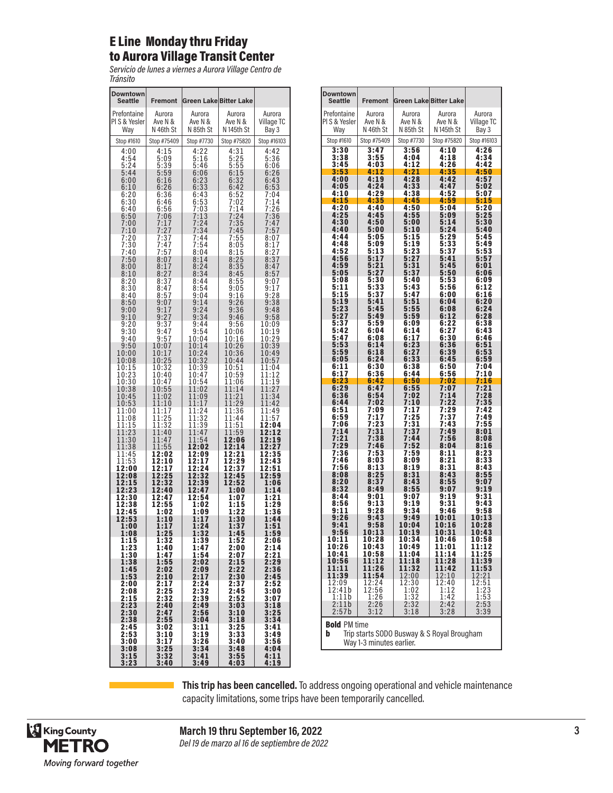#### E Line Monday thru Friday to Aurora Village Transit Center

*Servicio de lunes a viernes a Aurora Village Centro de Tránsito*

| Downtown<br>Seattle | <b>Fremont</b>     | <b>Green Lake Bitter Lake</b> |                          |                |
|---------------------|--------------------|-------------------------------|--------------------------|----------------|
| Prefontaine         | Aurora             | Aurora                        | Aurora                   | Aurora         |
| PIS & Yesler        | Ave N &            | Ave N &                       | Ave N &                  | Village TC     |
| Way                 | N 46th St          | N 85th St                     | N <sub>145th</sub> St    | Bay 3          |
| Stop #1610          | Stop #75409        | Stop #7730                    | Stop #75820              | Stop #16103    |
| 4:00                | 4:15               | 4:22                          | 4:31                     | 4:42           |
| 4:54                | 5:09               | 5:16                          | 5:25                     | 5:36           |
| 5:24                | 5:39               | 5:46                          | 5:55                     | 6:06           |
| 5:44                | 5:59               | 6:06                          |                          | 6:26           |
| 6:00                | 6:16<br>6:26       | 6:23<br>6:33                  | $6:15$<br>$6:32$<br>6:42 | 6:43           |
| 6:10<br>6:20        | 6:36               | 6:43                          | 6:52                     | 6:53<br>7:04   |
| 6:30                | 6:46               | 6:53                          | 7:02                     | 7:14           |
| 6:40                | 6:56               | 7:03                          | 7:14                     | 7:26           |
| 6:50                | 7:06               | 7:13                          | 7:24                     | 7:36           |
| 7:00                | 7:17               | 7:24                          | 7:35                     | 7:47           |
| 7:10                | 7:27               | 7:34                          | 7:45                     | 7:57           |
| 7:20                | 7:37               | 7:44                          | 7:55                     | 8:07           |
| 7:30                | 7:47               | 7:54                          | 8:05                     | 8:17           |
| 7:40                | 7:57               | 8:04                          | 8:15                     | 8:27           |
| 7:50                | 8:07               | 8:14                          | 8:25                     | 8:37           |
| 8:00                | 8:17               | 8:24                          | 8:35                     | 8:47           |
| 8:10                | 8:27               | 8:34                          | 8:45                     | 8:57           |
| $\frac{8:20}{8:30}$ | 8:37               | 8:44                          | 8:55                     | 9:07           |
| 8:40                | 8:47               | 8:54                          | 9:05                     | 9:17           |
|                     | 8:57               | 9:04                          | 9:16                     | 9:28           |
| 8:50                | 9:07               | 9:14                          | 9:26                     | 9:38           |
| 9:00                | 9:17               | 9:24                          | 9:36                     | 9:48           |
| 9:10                | 9:27               | 9:34                          | 9:46                     | 9:58           |
| 9:20                | 9:37               | 9:44                          | 9:56                     | 10:09          |
| 9:30                | 9:47               | 9:54                          | 10:06                    | 10:19          |
| 9:40                | 9:57               | 10:04                         | 10:16                    | 10:29          |
| 9:50                | 10:07              | 10:14                         | 10:26                    | 10:39          |
| 10:00               | 10:17              | 10:24                         | 10:36                    | 10:49          |
| 10:08               | 10:25              | 10:32                         | 10:44                    | 10:57          |
| 10:15               | 10:32              | 10:39                         | 10:51                    | 11:04          |
| 10:23               | 10:40              | 10:47                         | 10:59                    | 11:12          |
| 10:30               | 10:47              | 10:54                         | 11:06                    | 11:19          |
| 10:38<br>10:45      | 10:55<br>1<br>1:02 | 1:02<br>1<br>1<br>1:09        | 11:14<br>11:21           | 11:27<br>11:34 |
| 10:53<br>11:00      | 11:10<br>11:17     | 1:17<br>1<br>1:24<br>1        | 11:29<br>11:36           | 11:42<br>11:49 |
| 11:08               | 11:25              | 11:32                         | 11:44                    | 11:57          |
| 11:15               | 11:32              | 11:39                         | 11:51                    | 12:04          |
| 1:23<br>1<br>11:30  | 1:40<br>1          | 1:47<br>1<br>11:54            | 1:59<br>1                | 12:12<br>12:19 |
| 1:38<br>1           | 11:47<br>1:55<br>1 | 2:02                          | 12:06<br>2:14<br>1       | 12:27          |
| 11:45               | 12:02              | 12:09                         | 12:21                    | 12:35          |
| 11:53               | 12:10              | 12:17                         | 12:29                    | 12:43          |
| 12:00<br>12:08      | 12:17<br>12:25     | 12:24<br>12:32                | 2:37<br>1<br>12:45       | 12:51<br>12:59 |
| 12:15               | 12:32              | 12:39                         | 12:52                    | 1:06           |
| 12:23               | 12:40              | 12:47                         | 1:00                     | 1:14           |
| 12:30               | 12:47              | 12:54                         | 1:07                     | 1:21           |
| 12:38               | 12:55              | 1:02                          | 1:15                     | 1:29           |
| 12:45               | 1:02               | 1:09                          | 1:22                     | 1:36           |
| 12:53               | 1:10               | 1:17                          | 1:30                     | 1:44           |
| 1:00                | 1:17               | 1:24                          | 1:37                     | 1:51           |
| 1:08                | 1:25               | 1:32                          | 1:45                     | 1:59           |
| 1:15                | 1:32               | 1:39                          | 1:52                     | 2:06           |
| 1:23                | 1:40<br>1:47       | 1:47                          | 2:00                     | 2:14<br>2:21   |
| 1:30<br>1:38        | 1:55               | 1:54<br>2:02                  | 2:07<br>2:15             | 2:29           |
| 1:45                | 2:02               | 2:09                          | 2:22                     | 2:36           |
| 1:53                | 2:10               | 2:17                          | 2:30                     | 2:45           |
| 2:00                | 2:17               | 2:24                          | 2:37                     | 2:52           |
| 2:08                | 2:25               | 2:32                          | 2:45                     | 3:00           |
| 2:15                | 2:32               | 2:39                          | 2:52                     | 3:07           |
| 2:23                | 2:40               | 2:49                          | 3:03                     | 3:18           |
| 2:30                | 2:47               | 2:56                          | 3:10                     | 3:25           |
| 2:38                | 2:55               | 3:04                          | 3:18                     | 3:34           |
| 2:45                | 3:02               | 3:11                          | 3:25                     | 3:41           |
| 2:53                | 3:10               | 3:19                          | 3:33                     | 3:49           |
| 3:00                | 3:17               | 3:26                          | 3:40                     | 3:56           |
| 3:08                | 3:25               | 3:34                          | 3:48                     | 4:04           |
| 3:15                | 3:32               | 3:41                          | 3:55                     | 4:11           |
| 3:23                | 3:40               | 3:49                          | 4:03                     | 4:19           |

| <b>Downtown</b><br>Seattle                 | <b>Fremont</b>               | <b>Green Lake Bitter Lake</b>               |                |                     |
|--------------------------------------------|------------------------------|---------------------------------------------|----------------|---------------------|
| Prefontaine                                | Aurora                       | Aurora                                      | Aurora         | Aurora              |
| PI S & Yesler                              | Ave N &                      | Ave N &                                     | Ave N &        | Village TC          |
| Way                                        | N 46th St                    | N 85th St                                   | N 145th St     | Bay 3               |
| Stop #1610                                 | Stop #75409                  | Stop #7730                                  | Stop #75820    | Stop #16103         |
| 3:30<br>3:38                               | 3:47<br>3:55                 | 3:56<br>4:04                                | 4:10<br>4:18   | 4:26<br>4:34        |
| 3:45                                       | 4:03                         | 4:12                                        | 4:26           | 4:42                |
| 3:53<br>4:00                               | 4:12<br>4:19                 | 4:21<br>4:28                                | 4:35<br>4:42   | 4:50<br>4:57        |
| 4:05                                       | 4:24                         | 4:33                                        | 4:47           | 5:02                |
| 4:10<br>4:15                               | 4:29<br>4:35                 | 4:38<br>4:45                                | 4:52<br>4:59   | 5:07<br>5:15        |
| 4:20                                       | 4:40                         | 4:50                                        | 5:04           | 5:20                |
| 4:25<br>4:30                               | 4:45<br>4:50                 | 4:55<br>5:00                                | 5:09<br>5:14   | 5:25<br>5:30        |
| 4:40                                       | 5:00                         | 5:10                                        | 5:24           | 5:40                |
| 4:44<br>4:48                               | 5:05<br>5:09                 | 5:15<br>5:19                                | 5:29<br>5:33   | 5:45<br>5:49        |
| 4:52                                       | 5:13                         | 5:23                                        | 5:37           | 5:53                |
| 4:56<br>4:59                               | 5:17<br>5:21                 | 5:27<br>5:31                                | 5:41<br>5:45   | 5:57<br>6:01        |
| 5:05                                       | 5:27                         | 5:37                                        | 5:50           | 6:06                |
| 5:08<br>5:11                               | 5:30<br>5:33                 | 5:40<br>5:43                                | 5:53<br>5:56   | 6:09<br>6:12        |
| 5:15                                       | 5:37                         | 5:47                                        | 6:00           | 6:16                |
| 5:19<br>$5:23$<br>$5:27$                   | 5:41<br>5:45                 | 5:51<br>5:55                                | 6:04<br>6:08   | 6:20<br>6:24        |
|                                            | 5:49                         | 5:59                                        | 6:12           | 6:28                |
| 5:37<br>5:42                               | 5:59<br>6:04                 | 6:09<br>6:14                                | 6:22<br>6:27   | 6:38<br>6:43        |
| 5:47                                       | 6:08                         | 6:17                                        | 6:30           | 6:46<br>6:51        |
| 5:53<br>5:59                               | 6:14<br>6:18                 | $6:23$<br>$6:27$                            | 6:36<br>6:39   | 6:53                |
| 6:05                                       | 6:24                         | 6:33                                        | 6:45           | 6:59                |
| 6:11<br>6:17                               | 6:30<br>6:36                 | 6:38<br>6:44                                | 6:50<br>6:56   | 7:04<br>7:10        |
| $6:23$<br>$6:29$                           | 6:42<br>6:47                 | $\frac{6:50}{6:55}$                         | 7:02<br>7:07   | :16<br>7<br>7:21    |
| 6:36                                       | 6:54                         | 7:02                                        | 7:14           | 7:28                |
| 6:44<br>6:51                               | 7:02<br>7:09                 | 7:10<br>7:17                                | 7:22<br>7:29   | 7:35<br>7:42        |
| 6:59                                       | 7:17                         | :25<br>7                                    | 7:37<br>7:43   | 7:49                |
| 7:06<br>7:14                               | 7:23<br>7:31                 | 7:31<br>7:37                                | 7:49           | 7:55<br>8:01        |
| 7:21                                       | 7:38                         | 7:44                                        | 7:56           | 8:08                |
| 7:29<br>7:36                               | 7:46<br>7:53                 | 7:52<br>7:59                                | 8:04<br>8:11   | 8:16<br>8:23        |
| 7:46                                       | 8:03                         | 8:09                                        | 8:21           | 8:33                |
| 7:56<br>8:08                               | 8:13<br>8:25                 | 8:19<br>8:31                                | 8:31<br>8:43   | 8:43<br>8:55        |
| 8:20                                       | 8:37                         | 8:43                                        | 8:55           | 9:07                |
| 8:32<br>8:44                               | 8:49<br>9:01                 | 8:55<br>9:07                                | 9:07<br>9:19   | 9:19<br>9:31        |
| 8:56                                       | 9:13                         | 9:19                                        | 9:31           | 9:43                |
| 9:11<br>9:26                               | 9:28<br>9:43                 | 9:34<br>9:49                                | 9:46<br>10:01  | 9:58<br>10:13       |
| 9:41                                       | 9:58                         | 10:04                                       | 10:16          | 10:28               |
| 9:56<br>10:11                              | 10:13<br>10:28               | 10:19<br>10:34                              | 10:31<br>10:46 | 10:43<br>10:58      |
| 10:26                                      | 10:43                        | 10:49                                       | 11:01          | 11:12               |
| 10:41<br>10:56                             | 10:58<br>11:12               | 11:04<br>11:18                              | 11:14<br>11:28 | 11:25<br>11:39      |
| 11:11                                      | 11:26                        | 11:32                                       | 11:42          | 11:53               |
| 11:39<br>12:09                             | 11:54<br>12:24               | 12:00<br>12:30                              | 12:10<br>12:40 | 12:21<br>12:51      |
| 12:41b                                     |                              | 1:02                                        | 1:12           | 1:23                |
| 1:11b<br>2:11b                             | $\frac{12:56}{1:26}$<br>2:26 | $\begin{array}{c} 1:32 \\ 2:32 \end{array}$ | 1:42<br>2:42   | $\frac{1:53}{2:53}$ |
| 2:57b                                      | 3:12                         | 3:18                                        | 3:28           | 3:39                |
| <b>Bold PM time</b><br>b                   |                              |                                             |                |                     |
| Trip starts SODO Busway & S Royal Brougham |                              |                                             |                |                     |

Way 1-3 minutes earlier.

**This trip has been cancelled.** To address ongoing operational and vehicle maintenance capacity limitations, some trips have been temporarily cancelled.



**March 19 thru September 16, 2022** *Del 19 de marzo al 16 de septiembre de 2022*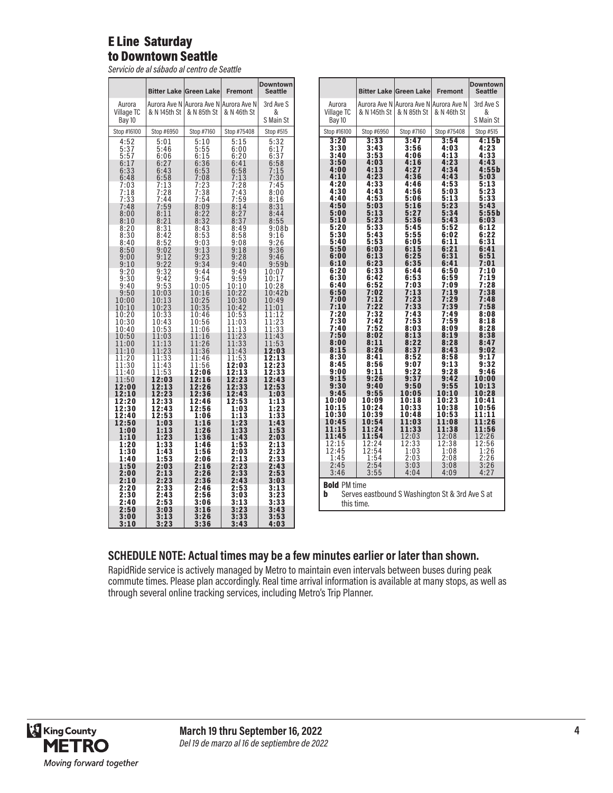#### E Line Saturday to Downtown Seattle

*Servicio de al sábado al centro de Seattle*

|                       |                  | <b>Bitter Lake Green Lake</b>                             | <b>Fremont</b>                               | <b>Downtown</b><br>Seattle |
|-----------------------|------------------|-----------------------------------------------------------|----------------------------------------------|----------------------------|
| Aurora<br>Village TC  | & N 145th St     | Aurora Ave N   Aurora Ave N   Aurora Ave N<br>& N 85th St | & N 46th St                                  | 3rd Ave S<br>&             |
| Bay 10<br>Stop #16100 | Stop #6950       | Stop #7160                                                | Stop #75408                                  | S Main St<br>Stop #515     |
| 4:52<br>5:37          | 5:01             | 5:10                                                      | 5:15                                         | $5:32$<br>$6:17$           |
| 5:57                  | 5:46<br>6:06     | 5:55<br>6:15                                              | 6:00<br>6:20                                 |                            |
| $6:17$<br>$6:33$      | 6:27<br>6:43     | $6:36$<br>$6:53$                                          | 6:41<br>6:58                                 | $6:37$<br>6:58<br>7:15     |
| 6:48                  | 6:58             | 7:08                                                      | 7:13                                         | 7:30                       |
| 7:03                  | 7:13             | 7:23                                                      | 7:28                                         | 7:45                       |
| 7:18                  | 7:28             | 7:38                                                      | 7:43                                         | 8:00                       |
| 7:33                  | 7:44             | 7:54                                                      | $7:59$<br>$8:14$                             | 8:16                       |
| 7:48                  | 7:59             | 8:09                                                      |                                              | $8:31$<br>$8:44$           |
| 8:00                  | 8:11             | 8:22                                                      | 8:27                                         | 8:55                       |
| 8:10                  | 8:21             | 8:32                                                      | 8:37                                         |                            |
| 8:20                  | 8:31             | 8:43                                                      | 8:49                                         | 9:08b                      |
| 8:30                  | 8:42             | 8:53                                                      | 8:58                                         | 9:16                       |
| 8:40<br>8:50          | $8:52$<br>$9:02$ | $9:03$<br>$9:13$                                          | 9:08<br>9:18                                 | 9:26<br>9:36               |
| 9:00                  | 9:12             | 9:23                                                      | 9:28                                         | 9:46                       |
| 9:10                  | $9:22$<br>$9:32$ | 9:34                                                      | 9:40                                         | 9:59b                      |
| 9:20                  |                  | 9:44                                                      | 9:49                                         | 10:07                      |
| 9:30                  | 9:42             | 9:54                                                      | $\begin{array}{c} 9:59 \\ 10:10 \end{array}$ | 10:17                      |
| 9:40                  | 9:53             | 10:05                                                     |                                              | 10:28                      |
| 9:50                  | 10:03            | 10:16                                                     | 10:22                                        | 10:42b                     |
| 10:00                 | 10:13            | 10:25                                                     | 10:30                                        | 10:49                      |
| 10:10                 | 10:23            | 10:35                                                     | 10:42                                        | 11:01                      |
| 10:20                 | 10:33            | 10:46                                                     | 10:53                                        | 11:12                      |
| 10:30                 | 10:43            | 10:56                                                     | 11:03                                        | 11:23                      |
| 10:40<br>10:50        | 10:53<br>11:03   | 1<br>1:06<br>11:16                                        | 11:13<br>11:23<br>11:33                      | 11:33<br>11:43             |
| 11:00                 | 11:13            | 11:26                                                     | 11:43                                        | 11:53                      |
| 11:10                 | 11:23            | 11:36                                                     |                                              | 12:03                      |
| 11:20                 | 11:33            | 11:46                                                     | 11:53                                        | 12:13                      |
| 11:30                 | 11:43            | 11:56                                                     | 12:03                                        | 12:23                      |
| 11:40                 | 11:53            | 12:06                                                     | 12:13                                        | 12:33                      |
| 11:50                 | 12:03            | 12:16                                                     | 12:23                                        | 12:43                      |
| 12:00                 | 12:13            | 12:26                                                     | 12:33                                        | 12:53                      |
| 12:10                 | 12:23            | 12:36                                                     | 12:43                                        | 1:03                       |
| 12:20                 | 12:33            | 12:46                                                     | 12:53                                        | 1:13                       |
| 12:30                 | 12:43            | 12:56                                                     | 1:03                                         | 1:23                       |
| 12:40                 | 12:53            | 1:06                                                      | 1:13                                         | 1:33                       |
| 12:50                 | 1:03             | 1:16                                                      | 1:23                                         | 1:43                       |
| 1:00                  | 1:13             | 1:26                                                      | 1:33                                         | 1:53                       |
| 1:10                  | 1:23             | 1:36                                                      | 1:43                                         | 2:03                       |
| 1:20                  | 1:33             | 1:46                                                      | 1:53                                         | 2:13                       |
| 1:30                  | 1:43             | 1:56                                                      | 2:03                                         | 2:23                       |
| 1:40                  | 1:53             | 2:06                                                      | 2:13                                         | 2:33                       |
| 1:50                  | 2:03             | 2:16                                                      | 2:23                                         | 2:43                       |
| 2:00                  | 2:13             | 2:26                                                      | 2:33                                         | 2:53                       |
| 2:10                  | 2:23             | 2:36                                                      | 2:43                                         | 3:03                       |
| 2:20                  | 2:33             | 2:46                                                      | 2:53                                         | 3:13                       |
| 2:30                  | 2:43             | 2:56                                                      | 3:03                                         | 3:23                       |
| 2:40                  | 2:53             | 3:06                                                      | 3:13                                         | 3:33                       |
| 2:50                  | 3:03             | 3:16                                                      | 3:23                                         | 3:43                       |
| 3:00                  | 3:13             | 3:26                                                      | 3:33                                         | 3:53                       |
| 3:10                  | 3:23             | 3:36                                                      | 3:43                                         | 4:03                       |

|                          |                                                 | <b>Bitter Lake Green Lake</b>                          | <b>Fremont</b>                | <b>Downtown</b><br><b>Seattle</b> |
|--------------------------|-------------------------------------------------|--------------------------------------------------------|-------------------------------|-----------------------------------|
| Aurora                   | & N 145th St                                    | Aurora Ave N  Aurora Ave N Aurora Ave N<br>& N 85th St | & N 46th St                   | 3rd Ave S<br>&                    |
| Village TC<br>Bay 10     |                                                 |                                                        |                               | S Main St                         |
| Stop #16100              | Stop #6950                                      | Stop #7160                                             | Stop #75408                   | Stop #515                         |
| 3:20<br>3:30             | 3:33<br>3:43                                    | 3:47<br>3:56                                           | 3:54<br>4:03                  | 4:15b<br>4:23                     |
| 3:40                     | 3:53                                            | 4:06                                                   | 4:13                          | 4:33                              |
| 3:50<br>4:00             | 4:03<br>4:13                                    | 4:16<br>4:27                                           | 4:23<br>4:34                  | 4:43<br>4:55b                     |
| 4:10                     | 4:23                                            | 4:36                                                   | 4:43                          | 5:03                              |
| 4:20<br>4:30             | 4:33<br>4:43                                    | 4:46<br>4:56                                           | 4:53<br>5:03                  | 5:13<br>5:23                      |
| 4:40<br>4:50             | 4:53<br>5:03                                    | 5:06<br>5:16                                           | 5:13<br>5:23                  | 5:33<br>5:43                      |
| 5:00                     | 5:13                                            | 5:27                                                   | 5:34                          | 5:55b                             |
| 5:10<br>5:20             | 5:23<br>5:33                                    | 5:36<br>5:45                                           | 5:43<br>5:52                  | 6:03<br>6:12                      |
| 5:30<br>5:40             | 5:43<br>5:53                                    | 5:55<br>6:05                                           | 6:02<br>6:11                  | 6:22<br>6:31                      |
| 5:50                     | 6:03                                            | 6:15                                                   | 6:21                          | 6:41                              |
| 6:00<br>6:10             | 6:13<br>6:23                                    | 6:25<br>6:35                                           | 6:31<br>6:41                  | 6:51<br>7:01                      |
| 6:20<br>6:30             | 6:33<br>6:42                                    | 6:44<br>6:53                                           | 6:50<br>6:59                  | 7:10<br>7:19                      |
| 6:40                     | 6:52                                            | 7:03                                                   | 7:09                          | 7:28                              |
| 6:50<br>7:00             | 7:02<br>7:12                                    | 7:13<br>7:23                                           | 7:19<br>7:29                  | 7:38<br>7:48                      |
| 7:10<br>7:20             | 7:22<br>7:32                                    | 7:33<br>7:43                                           | 7:39<br>7:49                  | 7:58<br>8:08                      |
| 7:30                     | 7:42                                            | 7:53                                                   | 7:59                          | 8:18                              |
| 7:40<br>7:50             | 7:52<br>8:02                                    | 8:03<br>8:13                                           | 8:09<br>8:19                  | 8:28<br>8:38                      |
| 8:00<br>8:15             | 8:11<br>8:26                                    | 8:22<br>8:37                                           | 8:28<br>8:43                  | 8:47<br>9:02                      |
| 8:30                     | 8:41                                            | 8:52                                                   | 8:58                          | 9:17                              |
| 8:45<br>9:00             | 8:56<br>9:11                                    | 9:07<br>9:22                                           | 9:13<br>9:28                  | 9:32<br>9:46                      |
| 9:15<br>9:30             | 9:26<br>9:40                                    | 9:37<br>9:50                                           | 9:42<br>9:55                  | 10:00<br>10:13                    |
| 9:45                     | 9:55                                            | 10:05                                                  | 10:10                         | 10:28                             |
| 10:00<br>10:15           | 10:09<br>10:24                                  | 10:18<br>10:33                                         | 10:23<br>10:38                | 10:41<br>10:56                    |
| 10:30<br>10:45           | 10:39<br>10:54                                  | 10:48<br>11:03                                         | 10:53<br>11:08                | 11:11<br>11:26                    |
| 11:15                    | 11:24                                           | 11:33                                                  | 11:38                         | 11:56                             |
| 11:45<br>12:15<br>12:45  | 11:54<br>12:24<br>12:54                         | 12:03<br>12:33                                         | 12:08<br>$\frac{12:38}{1:08}$ | 12:26                             |
| 1:45                     | 1:54                                            | 1:03<br>2:03                                           | 2:08                          | $\frac{12:56}{1:26}$<br>2:26      |
| 2:45                     | 2:54                                            | 3:03                                                   | 3:08                          | 3:26                              |
| 3:46                     | 3:55                                            | 4:04                                                   | 4:09                          | 4:27                              |
| <b>Bold PM time</b><br>b | Serves eastbound S Washington St & 3rd Ave S at |                                                        |                               |                                   |
| this time.               |                                                 |                                                        |                               |                                   |

#### **SCHEDULE NOTE: Actual times may be a few minutes earlier or later than shown.**

RapidRide service is actively managed by Metro to maintain even intervals between buses during peak commute times. Please plan accordingly. Real time arrival information is available at many stops, as well as through several online tracking services, including Metro's Trip Planner.

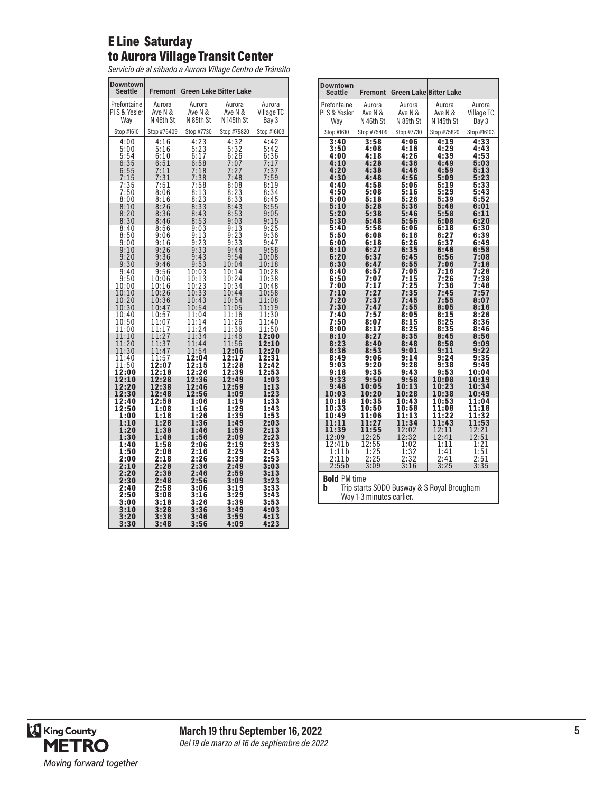#### E Line Saturday to Aurora Village Transit Center

*Servicio de al sábado a Aurora Village Centro de Tránsito*

| <b>Downtown</b>              |                     |                               |                             |                                 |
|------------------------------|---------------------|-------------------------------|-----------------------------|---------------------------------|
| <b>Seattle</b>               | <b>Fremont</b>      | <b>Green Lake Bitter Lake</b> |                             |                                 |
| Prefontaine<br>PI S & Yesler | Aurora<br>Ave N &   | Aurora<br>Ave N &             | Aurora<br>Ave N &           | Aurora<br>Village TC            |
| Way                          | N 46th St           | N 85th St                     | N 145th St                  | Bay 3                           |
| Stop #1610                   | Stop #75409         | Stop #7730                    | Stop #75820                 | Stop #16103                     |
| 4:00                         | 4:16<br>5:16        | $\frac{4:23}{5:23}$<br>6:17   | 4:32<br>5:32                | 4:42                            |
| 5:00<br>5:54                 | 6:10                |                               | 6:26                        | $\frac{5:42}{6:36}$             |
| 6:35<br>6:55                 | $\frac{6:51}{7:11}$ | $6:58$<br>$7:18$              | 7:07<br>7:<br>27            | $7:17$<br>$7:37$<br>$7:59$      |
| 7:15                         | 7:31                | $7:18$<br>$7:38$              | 7:48                        |                                 |
| 7:35<br>7:50                 | 7:51<br>8:06        | 7:58<br>8:13                  | 8:08<br>$\frac{8:23}{8:33}$ | 8:19<br>8:34                    |
| 8:00                         | 8:16                | 8:23                          | 8:43                        | 8:45                            |
| $\frac{8:10}{8:20}$          | $\frac{8:26}{8:36}$ | $\frac{8:33}{8:43}$           | 8:53                        | $\frac{8:55}{9:05}$             |
| 8:30<br>8:40                 | 8:46<br>8:56        | 8:53<br>9:03                  | 9:03<br>$\frac{9:13}{9:23}$ | 9:15<br>9:25                    |
| 8:50<br>9:00                 | 9:06<br>9:16        | $9:13$<br>$9:23$<br>$9:33$    | 9:33                        | $\frac{9:36}{9:47}$             |
| 9:10                         | 9:26                |                               | 9:44                        | 9:58                            |
| 9:20<br>9:30                 | 9:36<br>9:46        | 9:43<br>9:53                  | 9:54<br>10:04               | 10:08<br>10:18                  |
| 9:40<br>9:50                 | 9:56<br>10:06       | 10:03<br>10:13                | 10:14<br>10:24              | 10:28<br>10:38                  |
| 10:00                        | 10:16               | 10:23                         | 10:34                       | 10:48                           |
| 10:10<br>10:20<br>10:30      | 10:26<br>10:36      | 10:33<br>10:43                | 10:44<br>10:54              | 10:58<br>11:08                  |
| 10:40                        | 10:47<br>10:57      | 10:54<br>11:04                | 11:05<br>11:16              | 1:19<br>$\overline{1}$<br>11:30 |
| 10:50<br>1:00<br>1           | 11:07<br>1:17<br>1  | 11:14<br>1:24<br>1            | 11:26<br>11:36              | 11:40<br>1:50<br>1              |
| 11:10                        | 11:27               | 11:34                         | 11:46                       | 12:00                           |
| 11:20<br>11:30               | 11:3<br>7<br>11:47  | 11:44<br>11:54                | 11:56<br>12:06              | 12:10<br>12:20                  |
| 11:40<br>11:50               | 11:57<br>12:07      | 12:04<br>12:15                | 12:17<br>2:28<br>1          | 12:31<br>12:42                  |
| 12:00                        | 12:18               | 12:26                         | 12:39                       | 12:53                           |
| 12:10<br>12:20               | 12:28<br>12:38      | 12:36<br>12:46                | 12:49<br>12:59              | 1:03<br>1:13                    |
| 12:30<br>12:40               | 12:48<br>12:58      | 12:56<br>1:06                 | 1:09<br>1:19                | 1:23<br>1:33                    |
| 12:50<br>1:00                | 1:08<br>1:18        | 1:16<br>1:26                  | 1:29<br>1:39                | 1:43                            |
| 1:10                         | 1:28                | 1:36                          | 1:49                        | 1:53<br>2:03                    |
| 1:20<br>1:30                 | 1:38<br>1:48        | 1:46<br>1:56                  | 1:59<br>2:09                | 2:13<br>2:23                    |
| 1:40<br>1:50                 | 1:58<br>2:08        | 2:06<br>2:16                  | 2:19<br>2:29                | 2:33<br>2:43                    |
| 2:00                         | 2:18                | 2:26                          | 2:39                        | 2:53                            |
| 2:10<br>2:20                 | 2:28<br>2:38        | 2:36<br>2:46                  | 2:49<br>2:59                | 3:03<br>3:13                    |
| 2:30<br>2:40                 | 2:48<br>2:58        | 2:56<br>3:06                  | 3:09<br>3:19                | 3:23<br>3:33                    |
| 2:50                         | 3:08                | 3:16<br>3:26                  | 3:29                        | 3:43                            |
| 3:00<br>3:10                 | 3:18<br>3:28        | 3:36                          | 3:39<br>3:49                | 3:53<br>4:03                    |
| 3:20<br>3:30                 | 3:38<br>3:48        | 3:46<br>3:56                  | 3:59<br>4:09                | 4:13<br>4:23                    |

| <b>Downtown</b><br><b>Seattle</b> | <b>Fremont</b> | <b>Green Lake Bitter Lake</b>              |                       |                |
|-----------------------------------|----------------|--------------------------------------------|-----------------------|----------------|
| Prefontaine                       | Aurora         | Aurora                                     | Aurora                | Aurora         |
| PIS & Yesler                      | Ave N &        | Ave N &                                    | Ave N &               | Village TC     |
| Way                               | N 46th St      | N 85th St                                  | N <sub>145th</sub> St | Bay 3          |
| Stop #1610                        | Stop #75409    | Stop #7730                                 | Stop #75820           | Stop #16103    |
| 3:40<br>3:50                      | 3:58<br>4:08   | 4:06<br>4:16                               | 4:19<br>4:29          | 4:33<br>4:43   |
| 4:00                              | 4:18           | 4:26                                       | 4:39                  | 4:53           |
| 4:10<br>4:20                      | 4:28<br>4:38   | 4:36<br>4:46                               | 4:49<br>4:59          | 5:03<br>5:13   |
| 4:30                              | 4:48           | 4:56                                       | 5:09                  | 5:23           |
| 4:40                              | 4:58           | 5:06                                       | 5:19                  | 5:33           |
| 4:50<br>5:00                      | 5:08<br>5:18   | 5:16<br>5:26                               | 5:29<br>5:39          | 5:43<br>5:52   |
| 5:10                              | 5:28           | 5:36                                       | 5:48                  | 6:01           |
| 5:20<br>5:30                      | 5:38<br>5:48   | 5:46<br>5:56                               | 5:58<br>6:08          | 6:11<br>6:20   |
| 5:40                              | 5:58           | 6:06                                       | 6:18                  | 6:30           |
| 5:50                              | 6:08           | 6:16                                       | 6:27                  | 6:39           |
| 6:00<br>6:10                      | 6:18<br>6:27   | 6:26<br>6:35                               | 6:37<br>6:46          | 6:49<br>6:58   |
| 6:20                              | 6:37           | 6:45                                       | 6:56                  | 7:08           |
| 6:30<br>6:40                      | 6:47<br>6:57   | 6:55<br>7:05                               | 7:06<br>7:16          | 7:18<br>7:28   |
| 6:50                              | 7:07           | 7:15                                       | 7:26                  | 7:38           |
| 7:00<br>:10                       | 7:17           | 7:25<br>7:35                               | 7:36                  | 7:48           |
| 7<br>7:20                         | 7:27<br>7:37   | 7:45                                       | 7:45<br>7:55          | 7:57<br>8:07   |
| 7:30                              | 7:47           | 7:55                                       | 8:05                  | 8:16           |
| 7:40<br>7:50                      | 7:57<br>8:07   | 8:05<br>8:15                               | 8:15<br>8:25          | 8:26<br>8:36   |
| 8:00                              | 8:17           | 8:25                                       | 8:35                  | 8:46           |
| 8:10<br>8:23                      | 8:27<br>8:40   | 8:35<br>8:48                               | 8:45<br>8:58          | 8:56<br>9:09   |
| 8:36                              | 8:53           | 9:01                                       | 9:11                  | 9:22           |
| 8:49                              | 9:06           | 9:14                                       | 9:24                  | 9:35           |
| 9:03<br>9:18                      | 9:20<br>9:35   | 9:28<br>9:43                               | 9:38<br>9:53          | 9:49<br>10:04  |
| 9:33                              | 9:50           | 9:58                                       | 10:08                 | 10:19          |
| 9:48<br>10:03                     | 10:05<br>10:20 | 10:13<br>10:28                             | 10:23<br>10:38        | 10:34<br>10:49 |
| 10:18                             | 10:35          | 10:43                                      | 10:53                 | 11:04          |
| 10:33                             | 10:50          | 10:58                                      | 11:08                 | 11:18          |
| 10:49<br>11:11                    | 11:06<br>11:27 | 11:13<br>11:34                             | 11:22<br>11:43        | 11:32<br>11:53 |
| 11:39                             | 11:55          | 12:02                                      | 12:11                 | 12:21          |
| 12:09<br>12:41b                   | 12:25<br>12:55 | 12:32<br>1:02                              | 12:41<br>1:11         | 12:51<br>1:21  |
| 1:11b                             | 1:25           | 1:32                                       | 1:41                  | 1:51           |
| 2:11b<br>2:55b                    | 2:25<br>3:09   | 2:32<br>3:16                               | 2:41<br>3:25          | 2:51<br>3:35   |
|                                   |                |                                            |                       |                |
| <b>Bold PM time</b>               |                |                                            |                       |                |
| b                                 |                | Trip starts SODO Busway & S Royal Brougham |                       |                |
| Way 1-3 minutes earlier.          |                |                                            |                       |                |

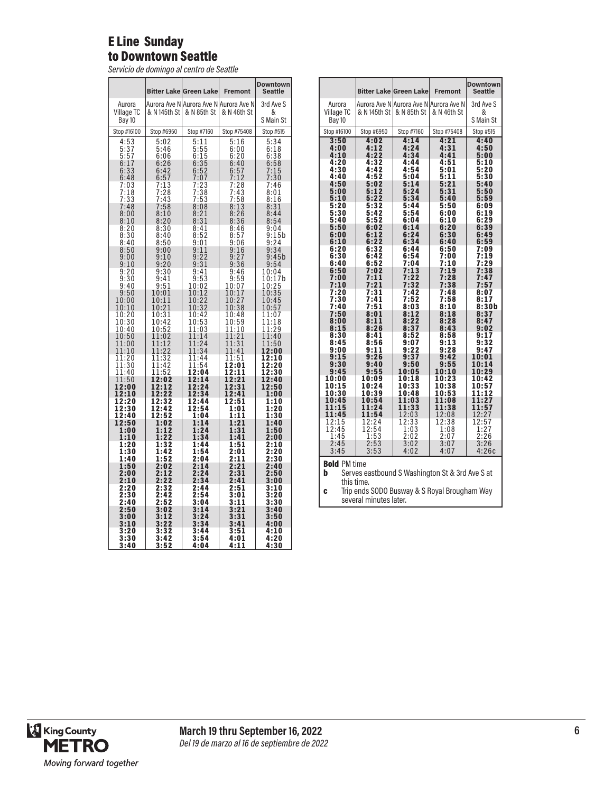#### E Line Sunday to Downtown Seattle

*Servicio de domingo al centro de Seattle*

|                             |                                      | <b>Bitter Lake Green Lake</b>                                                        | <b>Fremont</b>                                                 | <b>Downtown</b><br>Seattle           |
|-----------------------------|--------------------------------------|--------------------------------------------------------------------------------------|----------------------------------------------------------------|--------------------------------------|
| Aurora<br>Village TC        | & N 145th St                         | Aurora Ave N Aurora Ave N Aurora Ave N<br>& N 85th St                                | & N 46th St                                                    | 3rd Ave S<br>&                       |
| Bay 10                      |                                      |                                                                                      |                                                                | S Main St                            |
| Stop #16100                 | Stop #6950                           | Stop #7160                                                                           | Stop #75408                                                    | Stop #515                            |
| $\frac{4:53}{5:37}$<br>5:37 | 5:02<br>5:46                         | 5:11                                                                                 | 5:16<br>6:00                                                   | $\frac{5:34}{6:18}$                  |
|                             | 6:06                                 |                                                                                      | 6:20                                                           |                                      |
| $6:17$<br>$6:33$<br>$6:48$  | $6:26$<br>$6:42$<br>$6:57$<br>$7:13$ | 5:55<br>6:15<br>6:35<br>6:52<br>6:52<br>7:23<br>7:38<br>7:38<br>7:53<br>8:21<br>8:31 | 6:40<br>$6:57$<br>$7:12$<br>$7:28$                             | $6:38$<br>$6:58$<br>$7:15$<br>$7:30$ |
| 7:03                        |                                      |                                                                                      |                                                                | 7:46                                 |
| $7:18$<br>$7:33$<br>$7:48$  | $7:28$<br>$7:43$                     |                                                                                      | $7:43$<br>$7:58$                                               | 8:01                                 |
| 8:00                        | $7:43$<br>$7:58$<br>$8:10$           |                                                                                      | $7:58$<br>$8:13$<br>8:26                                       | $8:16$<br>$8:31$<br>$8:44$           |
| 8:10                        | 8:20                                 |                                                                                      | 8:36                                                           | 8:54                                 |
| $\frac{8:20}{8:30}$         | $8:30$<br>$8:40$                     | $8:41$<br>$8:52$                                                                     | $\frac{8:46}{8:57}$                                            | $9:04$<br>$9:15b$                    |
| 8:40<br>8:50                | 8:50                                 | 9:01<br>9:11                                                                         | 9:06<br>9:16                                                   | 9:24<br>9:34                         |
| 9:00                        | $\frac{9:00}{9:10}$                  | 9:22                                                                                 | 9:2<br>7                                                       | 9:45b                                |
| 9:10<br>$\frac{9:20}{9:30}$ | 9:20<br>$\frac{9:30}{9:41}$          | 9:31<br>9:41                                                                         | 9:36<br>9:46                                                   | 9:54<br>10:04                        |
| 9:40                        |                                      | $\frac{9:53}{10:02}$                                                                 | $9:59$<br>10:07                                                | 10:17b                               |
| 9:50                        | $\frac{9:51}{10:01}$                 | 10:12                                                                                | 10:17                                                          | $\frac{10:25}{10:35}$                |
| 10:00<br>10:10              | 10:11<br>10:21                       | 10:22<br>10:32                                                                       | 10:27<br>10:38                                                 | 10:45<br>10:57                       |
| $\frac{10:20}{10:30}$       | $\frac{10:3}{10:4}$<br>1             | 10:42<br>10:53                                                                       | 10:48<br>10:59                                                 | 1:07<br>1<br>11:18                   |
| 10:40<br>10:50              | 10:42<br>10:52<br>11:02              | 1:03<br>1                                                                            | 11:10<br>11:21                                                 | 11:29                                |
| 1:00<br>$\overline{1}$      | $\frac{1}{11:12}$<br>$\frac{1}{22}$  | $\frac{11:14}{11:24}$                                                                | $\overline{1}\overline{1}\overline{.}\overline{3}\overline{1}$ | 11:40<br>11:50                       |
| 11:10<br>11:20              | 11:32                                | 11:34<br>11:44                                                                       | 11:41<br>11:51                                                 | 12:00<br>12:10                       |
| 11:30<br>1:40<br>1          | 11:42<br>11:52                       | 11:54<br>2:04<br>1                                                                   | 12:01<br>12:11                                                 | 12:20<br>12:30                       |
| 11:50<br>12:00              | 12:02<br>2:1<br>$\overline{2}$<br>1  | 2:14<br>1<br>2:24<br>1                                                               | 12:21<br>12:31                                                 | 12:40<br>12:50                       |
| 12:10                       | 12:22                                | 12:34                                                                                | 12:41                                                          | 1:00                                 |
| 12:20<br>12:30              | 12:32<br>12:42                       | 12:44<br>12:54                                                                       | 12:51<br>1:01                                                  | 1:10<br>1:20                         |
| 12:40<br>12:50              | 12:52<br>1:02                        | 1:04<br>1:14                                                                         | 1:11<br>1:21                                                   | 1:30<br>1:40                         |
| 1:00<br>1:10                | $\overline{2}$<br>1:1<br>1:22        | 1:24<br>1:34                                                                         | $\overline{1:31}$<br>1:41                                      | 1:50<br>2:00                         |
| 1:20                        | 1:32                                 | 1:44                                                                                 | 1:51                                                           | 2:10                                 |
| 1:30<br>1:40                | 1:42<br>1:52                         | 1:54<br>2:04                                                                         | $\overline{2:01}$<br>$\overline{2:11}$                         | $\overline{2:20}$<br>2:30            |
| 1:50<br>2:00                | 2:02<br>2:12                         | 2:14<br>2:24                                                                         | 2:21<br>2:31                                                   | 2:40<br>2:50                         |
| 2:10                        | 2:22<br>$\overline{2:32}$            | 2:34                                                                                 | 2:41                                                           | 3:00                                 |
| 2:20<br>$\bar{2}$ :30       | 2:42                                 | 2:44<br>2:54                                                                         | 2:51<br>3:01                                                   | 3:10<br>3:20                         |
| 2:40<br>2:50                | $\overline{2:}5\overline{2}$<br>3:02 | 3:04<br>3:14                                                                         | 3:11<br>3:21                                                   | 3:30<br>3:40                         |
| 3:00<br>3:10                | 3:12<br>3:22                         | 3:24<br>3:34                                                                         | 3:31<br>3:41                                                   | 3:50<br>4:00                         |
| 3:20                        | 3:32                                 | 3:44                                                                                 | 3:51                                                           | 4:10                                 |
| 3:30<br>3:40                | 3:42<br>$\overline{\textbf{3:52}}$   | 3:54<br>4:04                                                                         | 4:01<br>4:11                                                   | 4:20<br>4:30                         |

|                                                                                                                                                |                                                       | <b>Bitter Lake Green Lake</b>          | <b>Fremont</b> | <b>Downtown</b><br><b>Seattle</b> |
|------------------------------------------------------------------------------------------------------------------------------------------------|-------------------------------------------------------|----------------------------------------|----------------|-----------------------------------|
| Aurora                                                                                                                                         |                                                       | Aurora Ave N Aurora Ave N Aurora Ave N |                | 3rd Ave S                         |
| Village TC<br>Bay 10                                                                                                                           | & N 145th St                                          | & N 85th St                            | & N 46th St    | &<br>S Main St                    |
| Stop #16100                                                                                                                                    | Stop #6950                                            | Stop #7160                             | Stop #75408    | Stop #515                         |
| 3:50                                                                                                                                           | 4:02                                                  | 4:14                                   | 4:21           | 4:40                              |
| 4:00<br>4:10                                                                                                                                   | 4:12<br>4:22                                          | 4:24<br>4:34                           | 4:31<br>4:41   | 4:50<br>5:00                      |
| 4:20<br>4:30                                                                                                                                   | 4:32<br>4:42                                          | 4:44<br>4:54                           | 4:51<br>5:01   | 5:10<br>5:20                      |
| 4:40                                                                                                                                           | 4:52                                                  | 5:04                                   | 5:11           | 5:30                              |
| 4:50<br>5:00                                                                                                                                   | 5:02<br>5:12                                          | 5:14<br>5:24                           | 5:21<br>5:31   | 5:40<br>5:50                      |
| 5:10<br>5:20                                                                                                                                   | 5:22<br>5:32                                          | 5:34<br>5:44                           | 5:40<br>5:50   | 5:59<br>6:09                      |
| 5:30                                                                                                                                           | 5:42                                                  | 5:54                                   | 6:00           | 6:19                              |
| 5:40<br>5:50                                                                                                                                   | 5:52<br>6:02                                          | 6:04<br>6:14                           | 6:10<br>6:20   | 6:29<br>6:39                      |
| 6:00<br>6:10                                                                                                                                   | 6:12<br>6:22                                          | 6:24<br>6:34                           | 6:30<br>6:40   | 6:49<br>6:59                      |
| 6:20                                                                                                                                           | 6:32                                                  | 6:44                                   | 6:50           | 7:09                              |
| 6:30<br>6:40                                                                                                                                   | 6:42<br>6:52                                          | 6:54<br>7:04                           | 7:00<br>7:10   | 7:19<br>7:29                      |
| 6:50<br>7:00                                                                                                                                   | 7:02<br>7:11                                          | 7:13<br>7:22                           | 7:19<br>7:28   | 7:38<br>7:47                      |
| 7:10                                                                                                                                           | 7:21                                                  | 7:32                                   | 7:38           | 7:57                              |
| 7:20<br>7:30                                                                                                                                   | 7:31<br>7:41                                          | 7:42<br>7:52                           | 7:48<br>7:58   | 8:07<br>8:17                      |
| 7:40                                                                                                                                           | 7:51                                                  | 8:03<br>8:12                           | 8:10           | 8:30b<br>8:37                     |
| 7:50<br>8:00                                                                                                                                   | 8:01<br>8:11                                          | 8:22                                   | 8:18<br>8:28   | 8:47                              |
| 8:15<br>8:30                                                                                                                                   | 8:26<br>8:41                                          | 8:37<br>8:52                           | 8:43<br>8:58   | 9:02<br>9:17                      |
| 8:45<br>9:00                                                                                                                                   | 8:56<br>9:11                                          | 9:07<br>9:22                           | 9:13<br>9:28   | 9:32<br>9:47                      |
| 9:15                                                                                                                                           | 9:26                                                  | 9:37                                   | 9:42           | 10:01                             |
| 9:30<br>9:45                                                                                                                                   | 9:40<br>9:55                                          | 9:50<br>10:05                          | 9:55<br>10:10  | 10:14<br>10:29                    |
| 10:00<br>10:15                                                                                                                                 | 10:09                                                 | 10:18                                  | 10:23          | 10:42<br>10:57                    |
| 10:30                                                                                                                                          | 10:24<br>10:39                                        | 10:33<br>10:48                         | 10:38<br>10:53 | 11:12                             |
| 10:45<br>11:15                                                                                                                                 | 10:54<br>11:24                                        | 11:03<br>11:33                         | 11:08<br>11:38 | 11:27<br>11:57                    |
| 11:45                                                                                                                                          | 11:54                                                 | 12:03                                  | 12:08          | $12:27$<br>$12:57$                |
| 12:15<br>12:45                                                                                                                                 | 12:24<br>$\begin{array}{c} 12:54 \\ 1:53 \end{array}$ | 12:33<br>1:03                          | 12:38<br>1:08  | $\frac{1:27}{2:26}$               |
| 1:45<br>2:45                                                                                                                                   |                                                       | 2:02<br>3:02                           | 2:07<br>3:07   |                                   |
| 3:45                                                                                                                                           | 2:53<br>3:53                                          | 4:02                                   | 4:07           | $3:26$<br>$4:26c$                 |
| <b>Bold</b> PM time<br>b<br>Serves eastbound S Washington St & 3rd Ave S at<br>this time.<br>Trip ends SODO Busway & S Royal Brougham Way<br>C |                                                       |                                        |                |                                   |
| several minutes later.                                                                                                                         |                                                       |                                        |                |                                   |